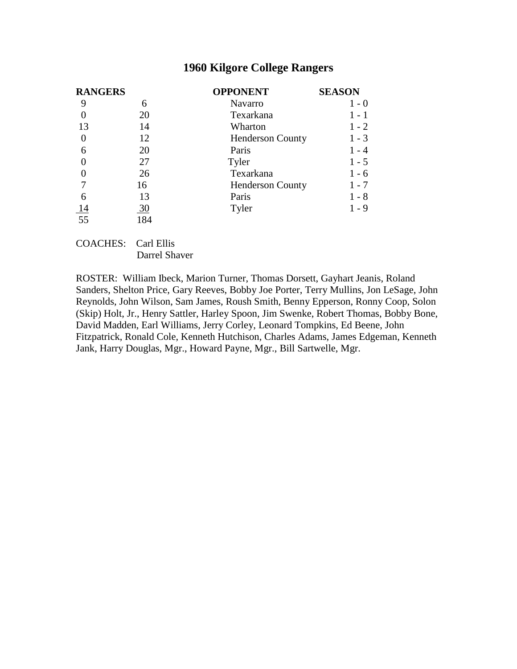| <b>RANGERS</b>  |     | <b>OPPONENT</b>         | <b>SEASON</b> |  |
|-----------------|-----|-------------------------|---------------|--|
|                 | 6   | Navarro                 | $1 - 0$       |  |
|                 | 20  | Texarkana               | 1 - 1         |  |
| 13              | 14  | Wharton                 | $1 - 2$       |  |
| $\overline{0}$  | 12  | <b>Henderson County</b> | $1 - 3$       |  |
| 6               | 20  | Paris                   | $-4$          |  |
|                 | 27  | Tyler                   | $1 - 5$       |  |
|                 | 26  | Texarkana               | 1 - 6         |  |
|                 | 16  | <b>Henderson County</b> | 1 - 7         |  |
| 6               | 13  | Paris                   | $1 - 8$       |  |
| <u>14</u>       | 30  | Tyler                   | 1 - 9         |  |
| $\overline{55}$ | 184 |                         |               |  |

# COACHES: Carl Ellis

Darrel Shaver

ROSTER: William Ibeck, Marion Turner, Thomas Dorsett, Gayhart Jeanis, Roland Sanders, Shelton Price, Gary Reeves, Bobby Joe Porter, Terry Mullins, Jon LeSage, John Reynolds, John Wilson, Sam James, Roush Smith, Benny Epperson, Ronny Coop, Solon (Skip) Holt, Jr., Henry Sattler, Harley Spoon, Jim Swenke, Robert Thomas, Bobby Bone, David Madden, Earl Williams, Jerry Corley, Leonard Tompkins, Ed Beene, John Fitzpatrick, Ronald Cole, Kenneth Hutchison, Charles Adams, James Edgeman, Kenneth Jank, Harry Douglas, Mgr., Howard Payne, Mgr., Bill Sartwelle, Mgr.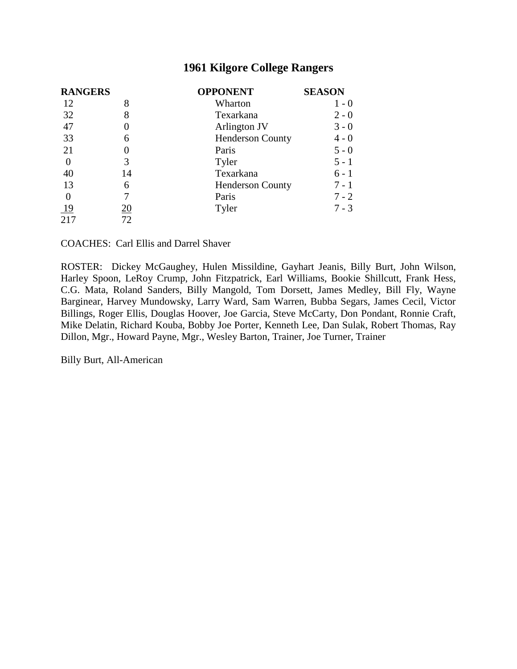| <b>RANGERS</b> |            | <b>OPPONENT</b>         | <b>SEASON</b> |  |
|----------------|------------|-------------------------|---------------|--|
| 12             | 8          | Wharton                 | $1 - 0$       |  |
| 32             | 8          | Texarkana               | $2 - 0$       |  |
| 47             |            | Arlington JV            | $3 - 0$       |  |
| 33             | 6          | <b>Henderson County</b> | $4 - 0$       |  |
| 21             |            | Paris                   | $5 - 0$       |  |
| $\theta$       | 3          | Tyler                   | $5 - 1$       |  |
| 40             | 14         | Texarkana               | $6 - 1$       |  |
| 13             | 6          | <b>Henderson County</b> | $7 - 1$       |  |
| $\theta$       |            | Paris                   | $7 - 2$       |  |
| $\frac{19}{2}$ | <u> 20</u> | Tyler                   | $7 - 3$       |  |
| 217            | 72         |                         |               |  |

COACHES: Carl Ellis and Darrel Shaver

ROSTER: Dickey McGaughey, Hulen Missildine, Gayhart Jeanis, Billy Burt, John Wilson, Harley Spoon, LeRoy Crump, John Fitzpatrick, Earl Williams, Bookie Shillcutt, Frank Hess, C.G. Mata, Roland Sanders, Billy Mangold, Tom Dorsett, James Medley, Bill Fly, Wayne Barginear, Harvey Mundowsky, Larry Ward, Sam Warren, Bubba Segars, James Cecil, Victor Billings, Roger Ellis, Douglas Hoover, Joe Garcia, Steve McCarty, Don Pondant, Ronnie Craft, Mike Delatin, Richard Kouba, Bobby Joe Porter, Kenneth Lee, Dan Sulak, Robert Thomas, Ray Dillon, Mgr., Howard Payne, Mgr., Wesley Barton, Trainer, Joe Turner, Trainer

Billy Burt, All-American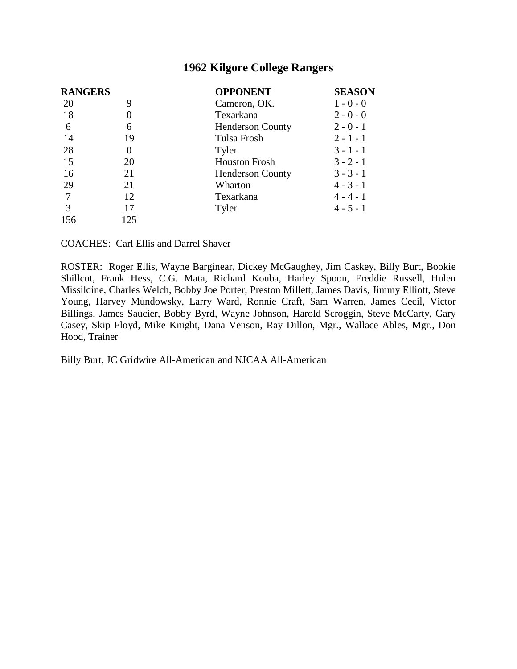| <b>RANGERS</b> |          | <b>OPPONENT</b>         | <b>SEASON</b> |
|----------------|----------|-------------------------|---------------|
| 20             | 9        | Cameron, OK.            | $1 - 0 - 0$   |
| 18             | 0        | Texarkana               | $2 - 0 - 0$   |
| 6              | 6        | <b>Henderson County</b> | $2 - 0 - 1$   |
| 14             | 19       | Tulsa Frosh             | $2 - 1 - 1$   |
| 28             | $\theta$ | Tyler                   | $3 - 1 - 1$   |
| 15             | 20       | <b>Houston Frosh</b>    | $3 - 2 - 1$   |
| 16             | 21       | <b>Henderson County</b> | $3 - 3 - 1$   |
| 29             | 21       | Wharton                 | $4 - 3 - 1$   |
|                | 12       | Texarkana               | $4 - 4 - 1$   |
| $\frac{3}{2}$  | 17       | Tyler                   | $4 - 5 - 1$   |
| 156            | 125      |                         |               |

COACHES: Carl Ellis and Darrel Shaver

ROSTER: Roger Ellis, Wayne Barginear, Dickey McGaughey, Jim Caskey, Billy Burt, Bookie Shillcut, Frank Hess, C.G. Mata, Richard Kouba, Harley Spoon, Freddie Russell, Hulen Missildine, Charles Welch, Bobby Joe Porter, Preston Millett, James Davis, Jimmy Elliott, Steve Young, Harvey Mundowsky, Larry Ward, Ronnie Craft, Sam Warren, James Cecil, Victor Billings, James Saucier, Bobby Byrd, Wayne Johnson, Harold Scroggin, Steve McCarty, Gary Casey, Skip Floyd, Mike Knight, Dana Venson, Ray Dillon, Mgr., Wallace Ables, Mgr., Don Hood, Trainer

Billy Burt, JC Gridwire All-American and NJCAA All-American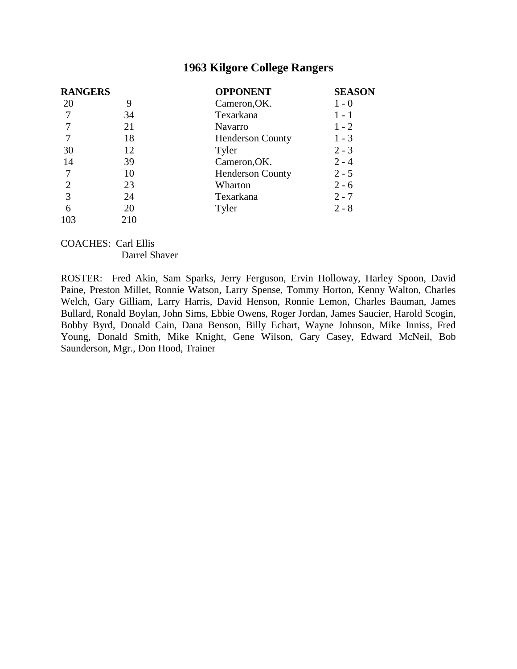| <b>RANGERS</b>  |     | <b>OPPONENT</b>         | <b>SEASON</b> |  |
|-----------------|-----|-------------------------|---------------|--|
| 20              | 9   | Cameron, OK.            | $1 - 0$       |  |
|                 | 34  | Texarkana               | 1 - 1         |  |
|                 | 21  | <b>Navarro</b>          | $1 - 2$       |  |
|                 | 18  | <b>Henderson County</b> | $1 - 3$       |  |
| 30              | 12  | Tyler                   | $2 - 3$       |  |
| 14              | 39  | Cameron, OK.            | $2 - 4$       |  |
|                 | 10  | <b>Henderson County</b> | $2 - 5$       |  |
| $\overline{2}$  | 23  | Wharton                 | $2 - 6$       |  |
|                 | 24  | Texarkana               | $2 - 7$       |  |
| $\underline{6}$ | 20  | Tyler                   | $2 - 8$       |  |
| 103             | 210 |                         |               |  |

#### COACHES: Carl Ellis Darrel Shaver

ROSTER: Fred Akin, Sam Sparks, Jerry Ferguson, Ervin Holloway, Harley Spoon, David Paine, Preston Millet, Ronnie Watson, Larry Spense, Tommy Horton, Kenny Walton, Charles Welch, Gary Gilliam, Larry Harris, David Henson, Ronnie Lemon, Charles Bauman, James Bullard, Ronald Boylan, John Sims, Ebbie Owens, Roger Jordan, James Saucier, Harold Scogin, Bobby Byrd, Donald Cain, Dana Benson, Billy Echart, Wayne Johnson, Mike Inniss, Fred Young, Donald Smith, Mike Knight, Gene Wilson, Gary Casey, Edward McNeil, Bob Saunderson, Mgr., Don Hood, Trainer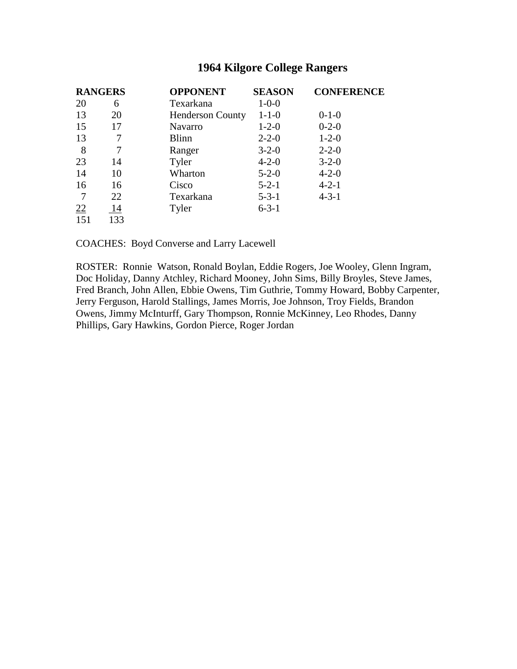| <b>RANGERS</b> |     | <b>OPPONENT</b>         | <b>SEASON</b> | <b>CONFERENCE</b> |
|----------------|-----|-------------------------|---------------|-------------------|
| 20             | 6   | Texarkana               | $1 - 0 - 0$   |                   |
| 13             | 20  | <b>Henderson County</b> | $1 - 1 - 0$   | $0-1-0$           |
| 15             | 17  | <b>Navarro</b>          | $1 - 2 - 0$   | $0-2-0$           |
| 13             |     | <b>Blinn</b>            | $2 - 2 - 0$   | $1 - 2 - 0$       |
| 8              | 7   | Ranger                  | $3 - 2 - 0$   | $2 - 2 - 0$       |
| 23             | 14  | Tyler                   | $4 - 2 - 0$   | $3 - 2 - 0$       |
| 14             | 10  | Wharton                 | $5 - 2 - 0$   | $4 - 2 - 0$       |
| 16             | 16  | Cisco                   | $5 - 2 - 1$   | $4 - 2 - 1$       |
|                | 22  | Texarkana               | $5 - 3 - 1$   | $4 - 3 - 1$       |
| 22             | 14  | Tyler                   | $6 - 3 - 1$   |                   |
| 151            | 133 |                         |               |                   |

COACHES: Boyd Converse and Larry Lacewell

ROSTER: Ronnie Watson, Ronald Boylan, Eddie Rogers, Joe Wooley, Glenn Ingram, Doc Holiday, Danny Atchley, Richard Mooney, John Sims, Billy Broyles, Steve James, Fred Branch, John Allen, Ebbie Owens, Tim Guthrie, Tommy Howard, Bobby Carpenter, Jerry Ferguson, Harold Stallings, James Morris, Joe Johnson, Troy Fields, Brandon Owens, Jimmy McInturff, Gary Thompson, Ronnie McKinney, Leo Rhodes, Danny Phillips, Gary Hawkins, Gordon Pierce, Roger Jordan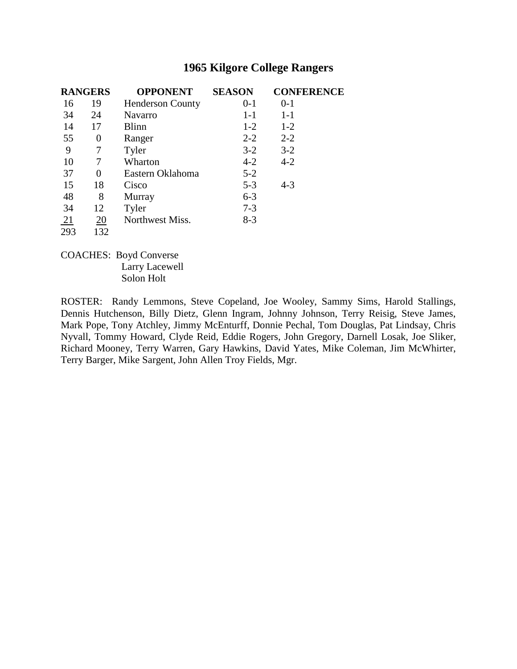| <b>RANGERS</b>  |     | <b>OPPONENT</b>         | <b>SEASON</b> | <b>CONFERENCE</b> |  |
|-----------------|-----|-------------------------|---------------|-------------------|--|
| 16              | 19  | <b>Henderson County</b> | $0-1$         | $0 - 1$           |  |
| 34              | 24  | <b>Navarro</b>          | $1 - 1$       | $1 - 1$           |  |
| 14              | 17  | <b>Blinn</b>            | $1-2$         | $1 - 2$           |  |
| 55              | 0   | Ranger                  | $2 - 2$       | $2 - 2$           |  |
| 9               | 7   | Tyler                   | $3-2$         | $3 - 2$           |  |
| 10              | 7   | Wharton                 | $4 - 2$       | $4 - 2$           |  |
| 37              | 0   | Eastern Oklahoma        | $5 - 2$       |                   |  |
| 15              | 18  | Cisco                   | $5 - 3$       | $4 - 3$           |  |
| 48              | 8   | Murray                  | $6 - 3$       |                   |  |
| 34              | 12  | Tyler                   | $7 - 3$       |                   |  |
| $\overline{21}$ | 20  | Northwest Miss.         | $8-3$         |                   |  |
| 293             | 132 |                         |               |                   |  |

COACHES: Boyd Converse Larry Lacewell Solon Holt

ROSTER: Randy Lemmons, Steve Copeland, Joe Wooley, Sammy Sims, Harold Stallings, Dennis Hutchenson, Billy Dietz, Glenn Ingram, Johnny Johnson, Terry Reisig, Steve James, Mark Pope, Tony Atchley, Jimmy McEnturff, Donnie Pechal, Tom Douglas, Pat Lindsay, Chris Nyvall, Tommy Howard, Clyde Reid, Eddie Rogers, John Gregory, Darnell Losak, Joe Sliker, Richard Mooney, Terry Warren, Gary Hawkins, David Yates, Mike Coleman, Jim McWhirter, Terry Barger, Mike Sargent, John Allen Troy Fields, Mgr.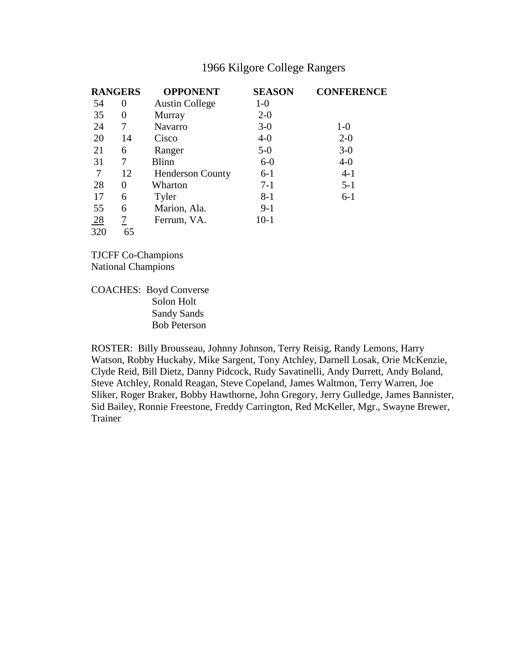|                | <b>RANGERS</b> | <b>OPPONENT</b>         | <b>SEASON</b> | <b>CONFERENCE</b> |
|----------------|----------------|-------------------------|---------------|-------------------|
| 54             | 0              | <b>Austin College</b>   | $1-0$         |                   |
| 35             | $\theta$       | Murray                  | $2 - 0$       |                   |
| 24             | 7              | <b>Navarro</b>          | $3-0$         | $1-0$             |
| 20             | 14             | Cisco                   | $4-0$         | $2 - 0$           |
| 21             | 6              | Ranger                  | $5-0$         | $3-0$             |
| 31             | 7              | <b>Blinn</b>            | $6-0$         | $4-0$             |
| 7              | 12             | <b>Henderson County</b> | $6-1$         | $4-1$             |
| 28             | $\overline{0}$ | Wharton                 | $7-1$         | $5 - 1$           |
| 17             | 6              | Tyler                   | $8 - 1$       | $6-1$             |
| 55             | 6              | Marion, Ala.            | $9-1$         |                   |
| $\frac{28}{1}$ | 7              | Ferrum, VA.             | $10-1$        |                   |
| 320            | 65             |                         |               |                   |

TJCFF Co-Champions National Champions

COACHES: Boyd Converse Solon Holt Sandy Sands Bob Peterson

ROSTER: Billy Brousseau, Johnny Johnson, Terry Reisig, Randy Lemons, Harry Watson, Robby Huckaby, Mike Sargent, Tony Atchley, Darnell Losak, Orie McKenzie, Clyde Reid, Bill Dietz, Danny Pidcock, Rudy Savatinelli, Andy Durrett, Andy Boland, Steve Atchley, Ronald Reagan, Steve Copeland, James Waltmon, Terry Warren, Joe Sliker, Roger Braker, Bobby Hawthorne, John Gregory, Jerry Gulledge, James Bannister, Sid Bailey, Ronnie Freestone, Freddy Carrington, Red McKeller, Mgr., Swayne Brewer, Trainer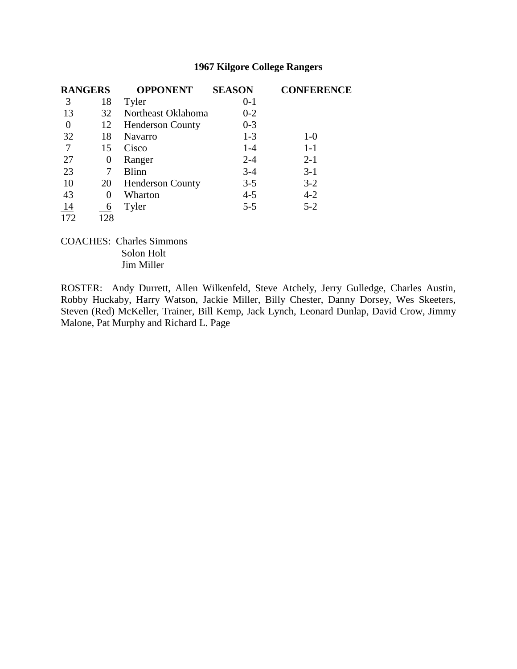| <b>RANGERS</b> |          | <b>OPPONENT</b>         | <b>SEASON</b> | <b>CONFERENCE</b> |
|----------------|----------|-------------------------|---------------|-------------------|
| 3              | 18       | Tyler                   | $0 - 1$       |                   |
| 13             | 32       | Northeast Oklahoma      | $0 - 2$       |                   |
| 0              | 12       | <b>Henderson County</b> | $0 - 3$       |                   |
| 32             | 18       | <b>Navarro</b>          | $1 - 3$       | $1-0$             |
| 7              | 15       | Cisco                   | $1 - 4$       | $1-1$             |
| 27             | 0        | Ranger                  | $2 - 4$       | $2 - 1$           |
| 23             | 7        | <b>Blinn</b>            | $3-4$         | $3-1$             |
| 10             | 20       | <b>Henderson County</b> | $3 - 5$       | $3-2$             |
| 43             | $\Omega$ | Wharton                 | $4 - 5$       | $4 - 2$           |
| 14             | 6        | Tyler                   | $5 - 5$       | $5 - 2$           |
| 172            | 128      |                         |               |                   |

COACHES: Charles Simmons Solon Holt Jim Miller

ROSTER: Andy Durrett, Allen Wilkenfeld, Steve Atchely, Jerry Gulledge, Charles Austin, Robby Huckaby, Harry Watson, Jackie Miller, Billy Chester, Danny Dorsey, Wes Skeeters, Steven (Red) McKeller, Trainer, Bill Kemp, Jack Lynch, Leonard Dunlap, David Crow, Jimmy Malone, Pat Murphy and Richard L. Page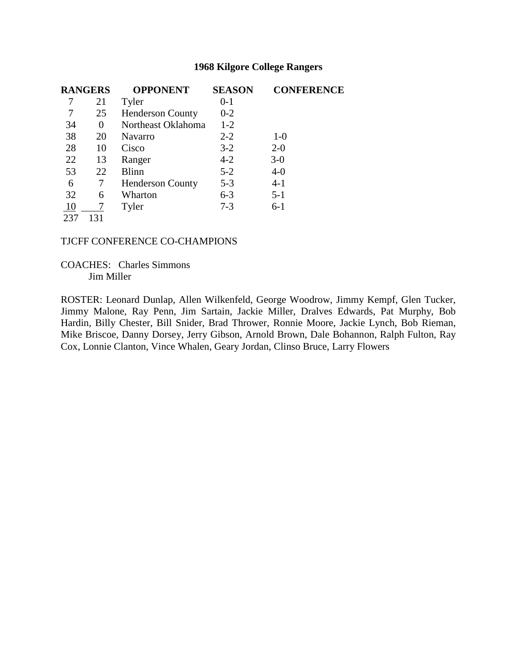| <b>RANGERS</b> |          | <b>OPPONENT</b>         | <b>SEASON</b> | <b>CONFERENCE</b> |
|----------------|----------|-------------------------|---------------|-------------------|
|                | 21       | Tyler                   | 0-1           |                   |
|                | 25       | <b>Henderson County</b> | $0 - 2$       |                   |
| 34             | $\theta$ | Northeast Oklahoma      | $1 - 2$       |                   |
| 38             | 20       | Navarro                 | $2 - 2$       | $1-0$             |
| 28             | 10       | Cisco                   | $3-2$         | $2 - 0$           |
| 22             | 13       | Ranger                  | $4 - 2$       | $3-0$             |
| 53             | 22       | <b>Blinn</b>            | $5 - 2$       | $4 - 0$           |
| 6              |          | <b>Henderson County</b> | $5 - 3$       | $4 - 1$           |
| 32             | 6        | Wharton                 | $6 - 3$       | $5 - 1$           |
| 10             |          | Tyler                   | $7 - 3$       | $6-1$             |
| 237            | 131      |                         |               |                   |

#### TJCFF CONFERENCE CO-CHAMPIONS

COACHES: Charles Simmons Jim Miller

ROSTER: Leonard Dunlap, Allen Wilkenfeld, George Woodrow, Jimmy Kempf, Glen Tucker, Jimmy Malone, Ray Penn, Jim Sartain, Jackie Miller, Dralves Edwards, Pat Murphy, Bob Hardin, Billy Chester, Bill Snider, Brad Thrower, Ronnie Moore, Jackie Lynch, Bob Rieman, Mike Briscoe, Danny Dorsey, Jerry Gibson, Arnold Brown, Dale Bohannon, Ralph Fulton, Ray Cox, Lonnie Clanton, Vince Whalen, Geary Jordan, Clinso Bruce, Larry Flowers